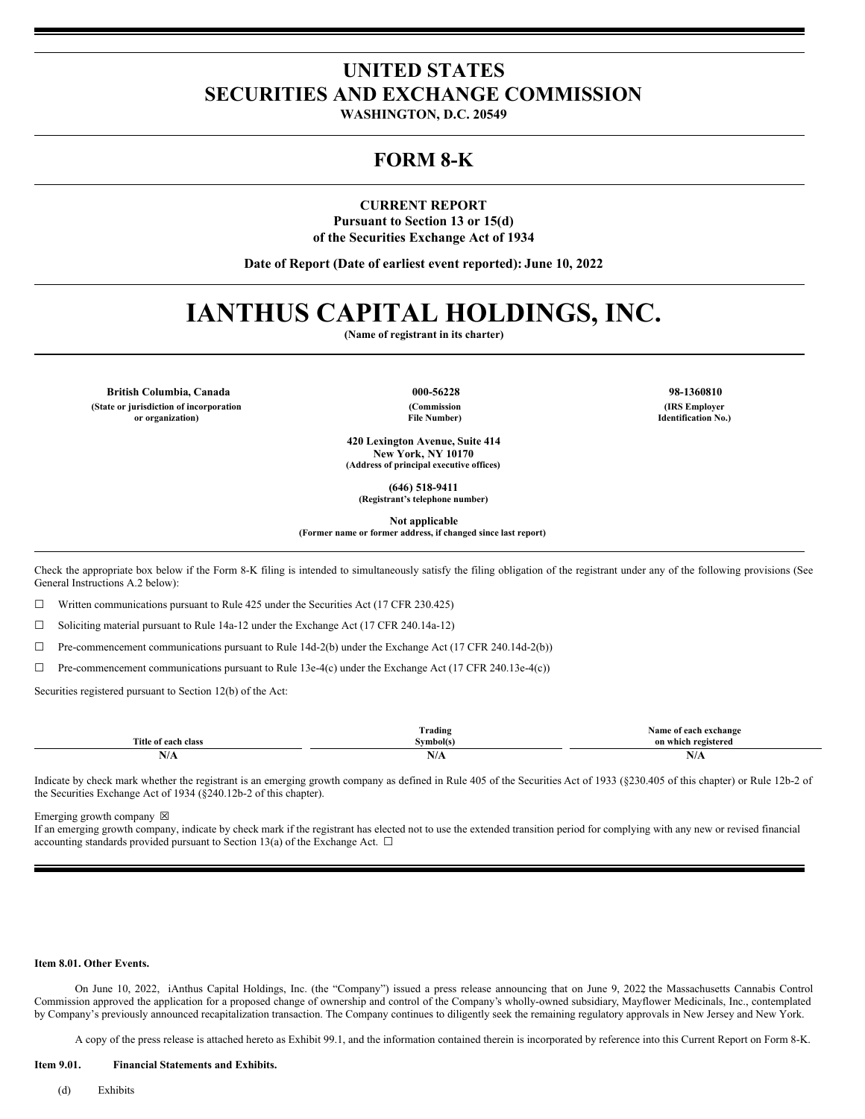# **UNITED STATES SECURITIES AND EXCHANGE COMMISSION**

**WASHINGTON, D.C. 20549**

### **FORM 8-K**

**CURRENT REPORT Pursuant to Section 13 or 15(d) of the Securities Exchange Act of 1934**

**Date of Report (Date of earliest event reported): June 10, 2022**

# **IANTHUS CAPITAL HOLDINGS, INC.**

**(Name of registrant in its charter)**

**British Columbia, Canada 000-56228 98-1360810 (State or jurisdiction of incorporation or organization)**

**(Commission**

**File Number)**

**420 Lexington Avenue, Suite 414 New York, NY 10170 (Address of principal executive offices)**

**(646) 518-9411 (Registrant's telephone number)**

**Not applicable**

**(Former name or former address, if changed since last report)**

Check the appropriate box below if the Form 8-K filing is intended to simultaneously satisfy the filing obligation of the registrant under any of the following provisions (See General Instructions A.2 below):

 $\Box$  Written communications pursuant to Rule 425 under the Securities Act (17 CFR 230.425)

☐ Soliciting material pursuant to Rule 14a-12 under the Exchange Act (17 CFR 240.14a-12)

☐ Pre-commencement communications pursuant to Rule 14d-2(b) under the Exchange Act (17 CFR 240.14d-2(b))

☐ Pre-commencement communications pursuant to Rule 13e-4(c) under the Exchange Act (17 CFR 240.13e-4(c))

Securities registered pursuant to Section 12(b) of the Act:

|                           | $\sim$<br>Frading      | Name of each exchange  |
|---------------------------|------------------------|------------------------|
| Title.<br>∙ of each class | $\sim$<br>``vmbol(s) — | registered<br>on which |
| 11/7                      | - -<br>N/A             | N/A                    |

Indicate by check mark whether the registrant is an emerging growth company as defined in Rule 405 of the Securities Act of 1933 (§230.405 of this chapter) or Rule 12b-2 of the Securities Exchange Act of 1934 (§240.12b-2 of this chapter).

Emerging growth company  $\boxtimes$ 

If an emerging growth company, indicate by check mark if the registrant has elected not to use the extended transition period for complying with any new or revised financial accounting standards provided pursuant to Section 13(a) of the Exchange Act.  $\Box$ 

### **Item 8.01. Other Events.**

On June 10, 2022, iAnthus Capital Holdings, Inc. (the "Company") issued a press release announcing that on June 9, 2022, the Massachusetts Cannabis Control Commission approved the application for a proposed change of ownership and control of the Company's wholly-owned subsidiary, Mayflower Medicinals, Inc., contemplated by Company's previously announced recapitalization transaction. The Company continues to diligently seek the remaining regulatory approvals in New Jersey and New York.

A copy of the press release is attached hereto as Exhibit 99.1, and the information contained therein is incorporated by reference into this Current Report on Form 8-K.

#### **Item 9.01. Financial Statements and Exhibits.**

(d) Exhibits

**(IRS Employer Identification No.)**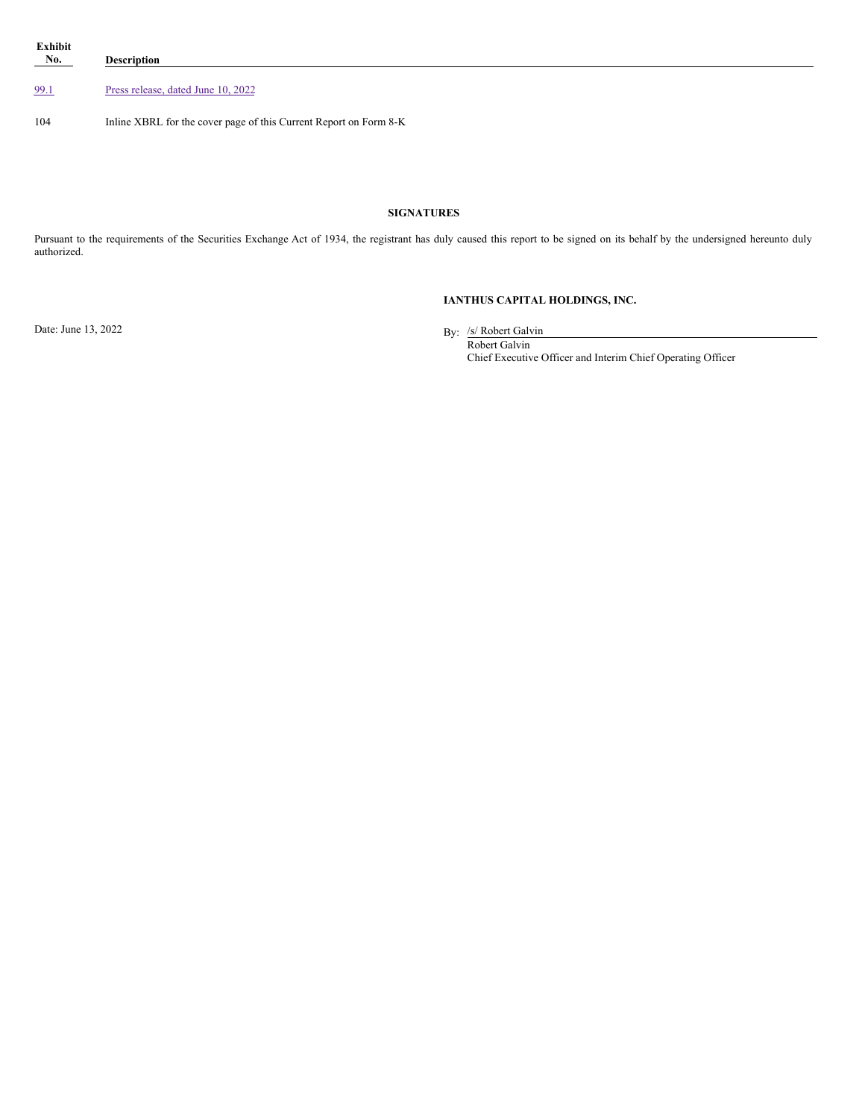| Exhibit<br>$N_0$ . | <b>Description</b>                                                |
|--------------------|-------------------------------------------------------------------|
| 99.1               | Press release, dated June 10, 2022                                |
| 104                | Inline XBRL for the cover page of this Current Report on Form 8-K |

### **SIGNATURES**

Pursuant to the requirements of the Securities Exchange Act of 1934, the registrant has duly caused this report to be signed on its behalf by the undersigned hereunto duly authorized.

### **IANTHUS CAPITAL HOLDINGS, INC.**

Date: June 13, 2022

By: /s/ Robert Galvin

Robert Galvin Chief Executive Officer and Interim Chief Operating Officer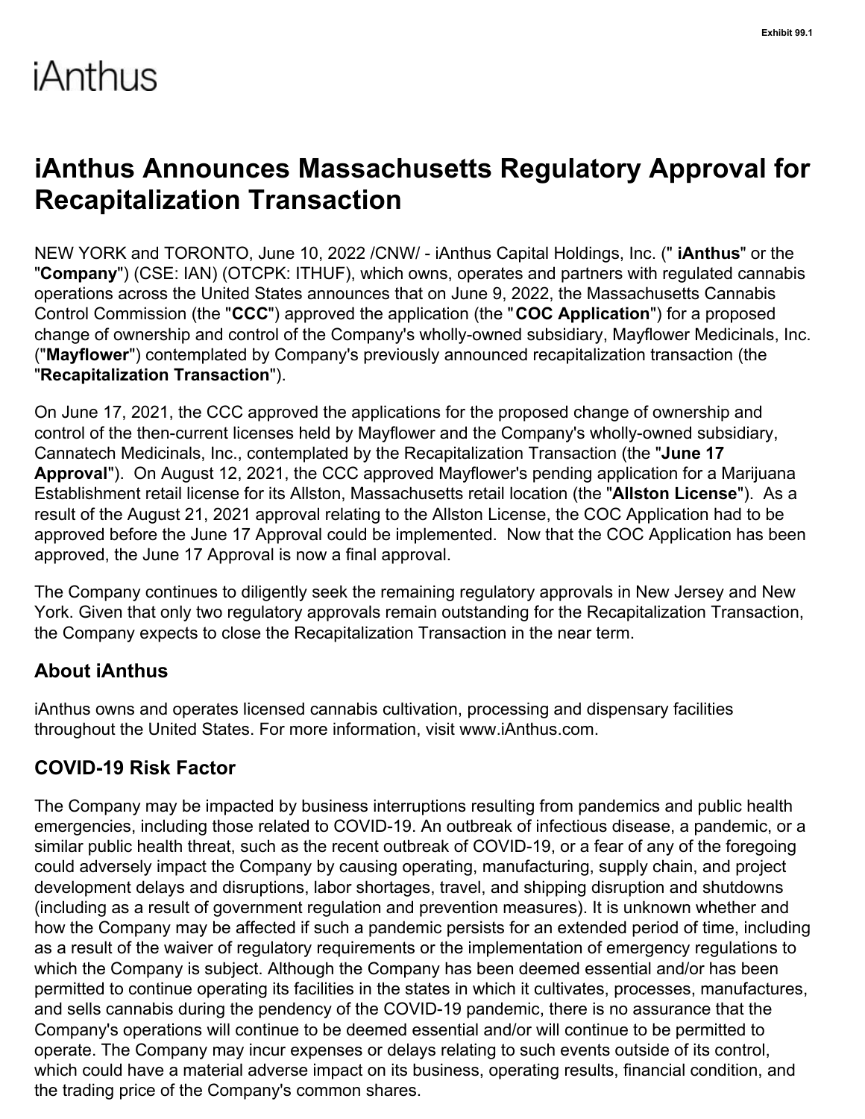# <span id="page-2-0"></span>iAnthus

# **iAnthus Announces Massachusetts Regulatory Approval for Recapitalization Transaction**

NEW YORK and TORONTO, June 10, 2022 /CNW/ - iAnthus Capital Holdings, Inc. (" **iAnthus**" or the "**Company**") (CSE: IAN) (OTCPK: ITHUF), which owns, operates and partners with regulated cannabis operations across the United States announces that on June 9, 2022, the Massachusetts Cannabis Control Commission (the "**CCC**") approved the application (the "**COC Application**") for a proposed change of ownership and control of the Company's wholly-owned subsidiary, Mayflower Medicinals, Inc. ("**Mayflower**") contemplated by Company's previously announced recapitalization transaction (the "**Recapitalization Transaction**").

On June 17, 2021, the CCC approved the applications for the proposed change of ownership and control of the then-current licenses held by Mayflower and the Company's wholly-owned subsidiary, Cannatech Medicinals, Inc., contemplated by the Recapitalization Transaction (the "**June 17 Approval**"). On August 12, 2021, the CCC approved Mayflower's pending application for a Marijuana Establishment retail license for its Allston, Massachusetts retail location (the "**Allston License**"). As a result of the August 21, 2021 approval relating to the Allston License, the COC Application had to be approved before the June 17 Approval could be implemented. Now that the COC Application has been approved, the June 17 Approval is now a final approval.

The Company continues to diligently seek the remaining regulatory approvals in New Jersey and New York. Given that only two regulatory approvals remain outstanding for the Recapitalization Transaction, the Company expects to close the Recapitalization Transaction in the near term.

# **About iAnthus**

iAnthus owns and operates licensed cannabis cultivation, processing and dispensary facilities throughout the United States. For more information, visit www.iAnthus.com.

# **COVID-19 Risk Factor**

The Company may be impacted by business interruptions resulting from pandemics and public health emergencies, including those related to COVID-19. An outbreak of infectious disease, a pandemic, or a similar public health threat, such as the recent outbreak of COVID-19, or a fear of any of the foregoing could adversely impact the Company by causing operating, manufacturing, supply chain, and project development delays and disruptions, labor shortages, travel, and shipping disruption and shutdowns (including as a result of government regulation and prevention measures). It is unknown whether and how the Company may be affected if such a pandemic persists for an extended period of time, including as a result of the waiver of regulatory requirements or the implementation of emergency regulations to which the Company is subject. Although the Company has been deemed essential and/or has been permitted to continue operating its facilities in the states in which it cultivates, processes, manufactures, and sells cannabis during the pendency of the COVID-19 pandemic, there is no assurance that the Company's operations will continue to be deemed essential and/or will continue to be permitted to operate. The Company may incur expenses or delays relating to such events outside of its control, which could have a material adverse impact on its business, operating results, financial condition, and the trading price of the Company's common shares.